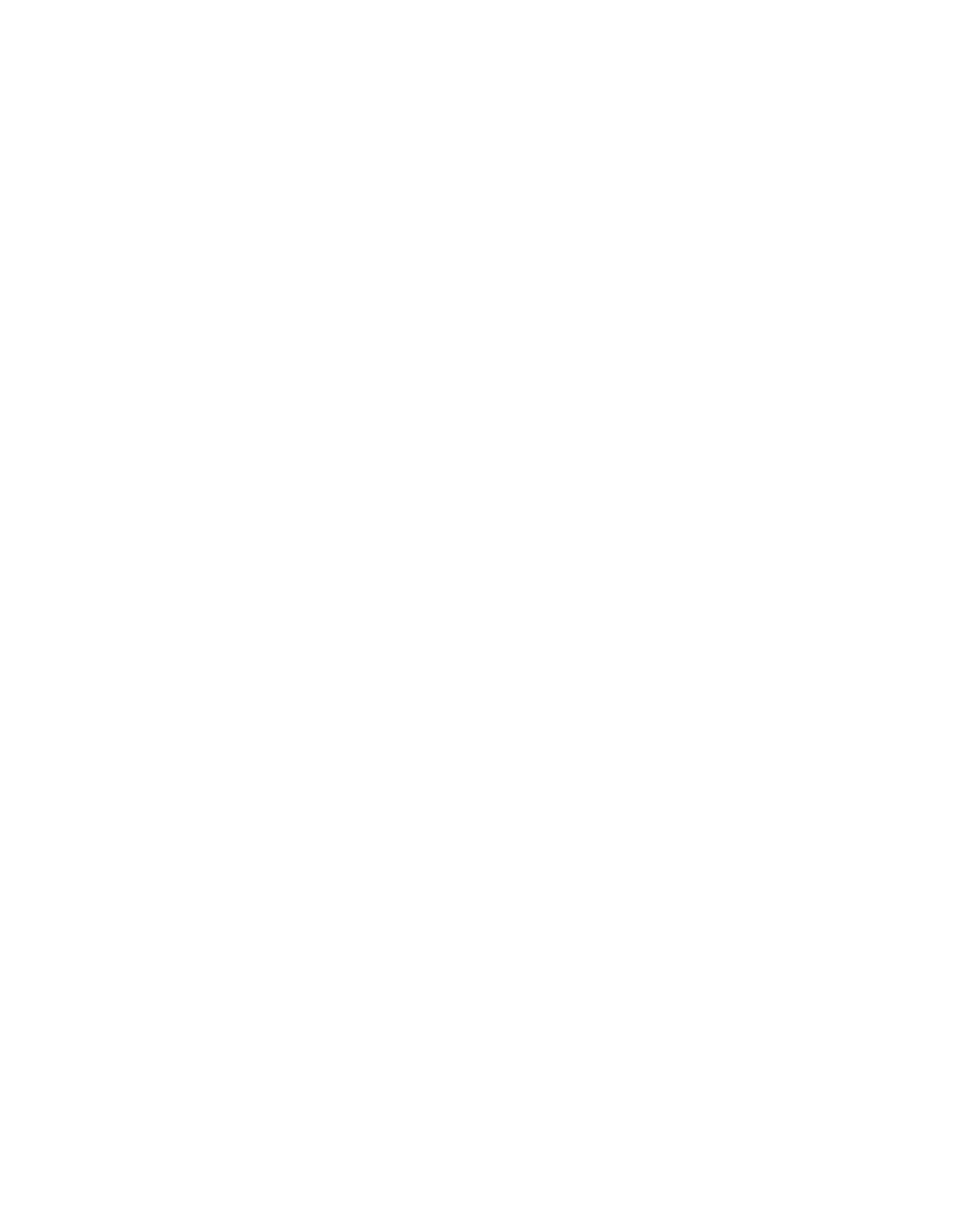# **TORREY PINES ROAD PRELIMINARY ENGINEERING STUDY**

### **TECHNICAL MEMORANDUM FOR**

## **MEDIAN OPTIONS**



**By**

### *TRAN CONSULTING ENGINEERS*

**January 2011**

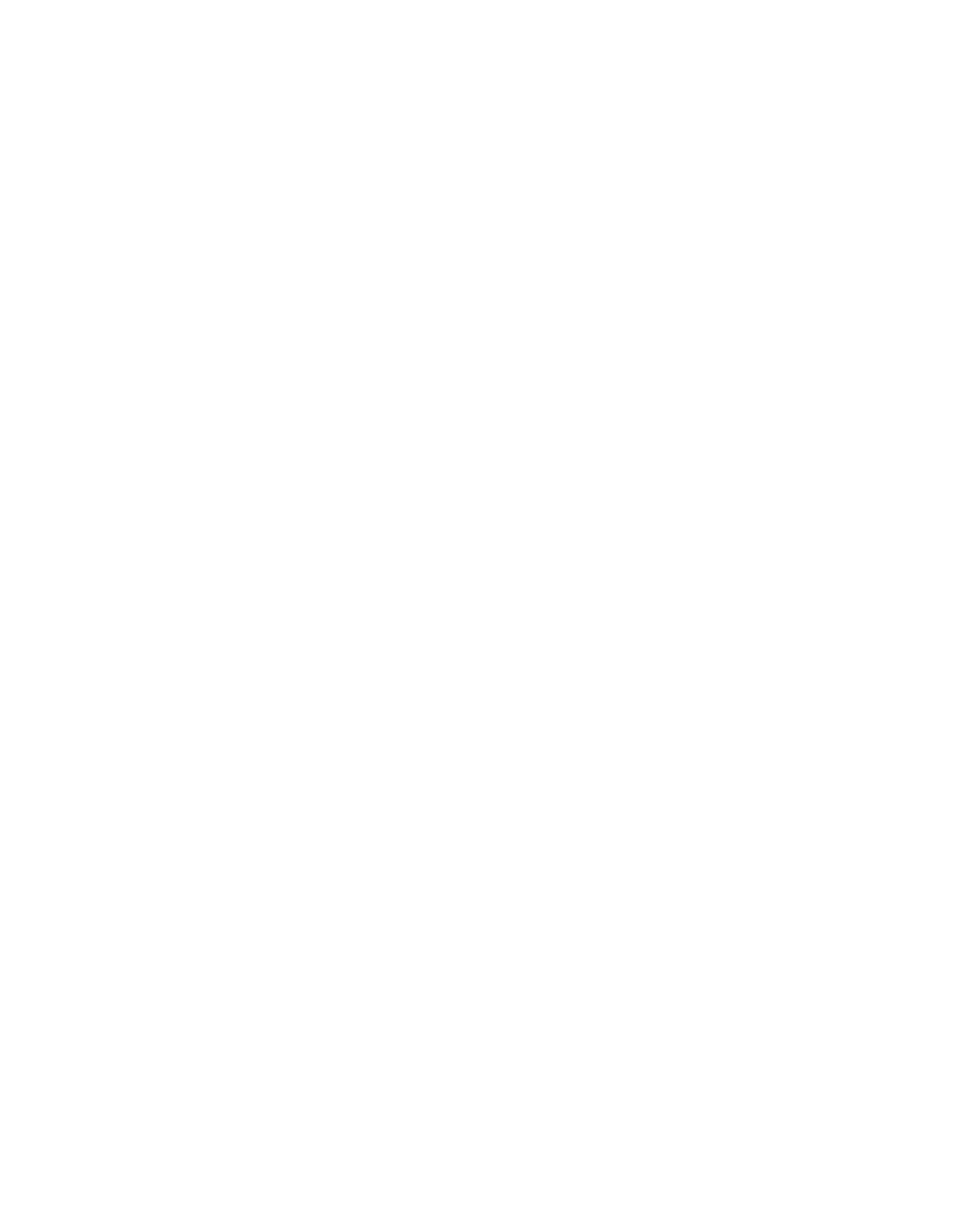#### **I. TOPIC DESCRIPTION**

Technical items in Torrey Pines Road are being evaluated for a proposed improvement project between Prospect Place and La Jolla Shores Drive. Within the project area medians are intended to be designed and constructed to provide for safe left turns for residents and as a lane for emergency vehicles. This technical memo will look at methods for a safe median.

Median areas are located in the center of Torrey Pines Road throughout the project area.

#### **I. DISCUSSIONS OF FINDINGS**

The proposed improvements will maintain or create a 10-foot corridor between west-bound and eastbound traffic. The median corridor will be available for emergency vehicles and left-turns into adjacent streets and driveways.

#### **II.1. Median Alternatives**

Various commonly used types of medians in California considered are:

- Striping double yellow lines or single yellow line with a broken stripe
- Striping with speed grooves
- Stamped concrete Cobble stone appearance
- Grasscrete (with and without a rolled curb)
- Raised medians
- Depressed medians

At the present time the median area is paved with asphaltic concrete and is striped with yellow lines from Prospect Place (Station 10+00) to Roseland Drive (Station 45+00). Beginning at Roseland Drive, there are raised medians as shown in the photo below that continue east to the end of the project. the raised medians should be left or replaced to assure that vehicles from La Jolla Shores Drive don't try to cross traffic to make an illegal left turn. The beginning of the raised median to the west is shown in Picture 2721 below.



Picture 2721 - Raised Median at Roseland Drive

The recommended median type(s) must provide a suitable level of safety for its intended use. Maintenance is also an important consideration. Raised medians are not safe when the intended use is emergency vehicles, which would have a difficult time crossing over them. Depressed medians may create a safety issue if drivers inadvertently wander into the depressed medianand lose control causing

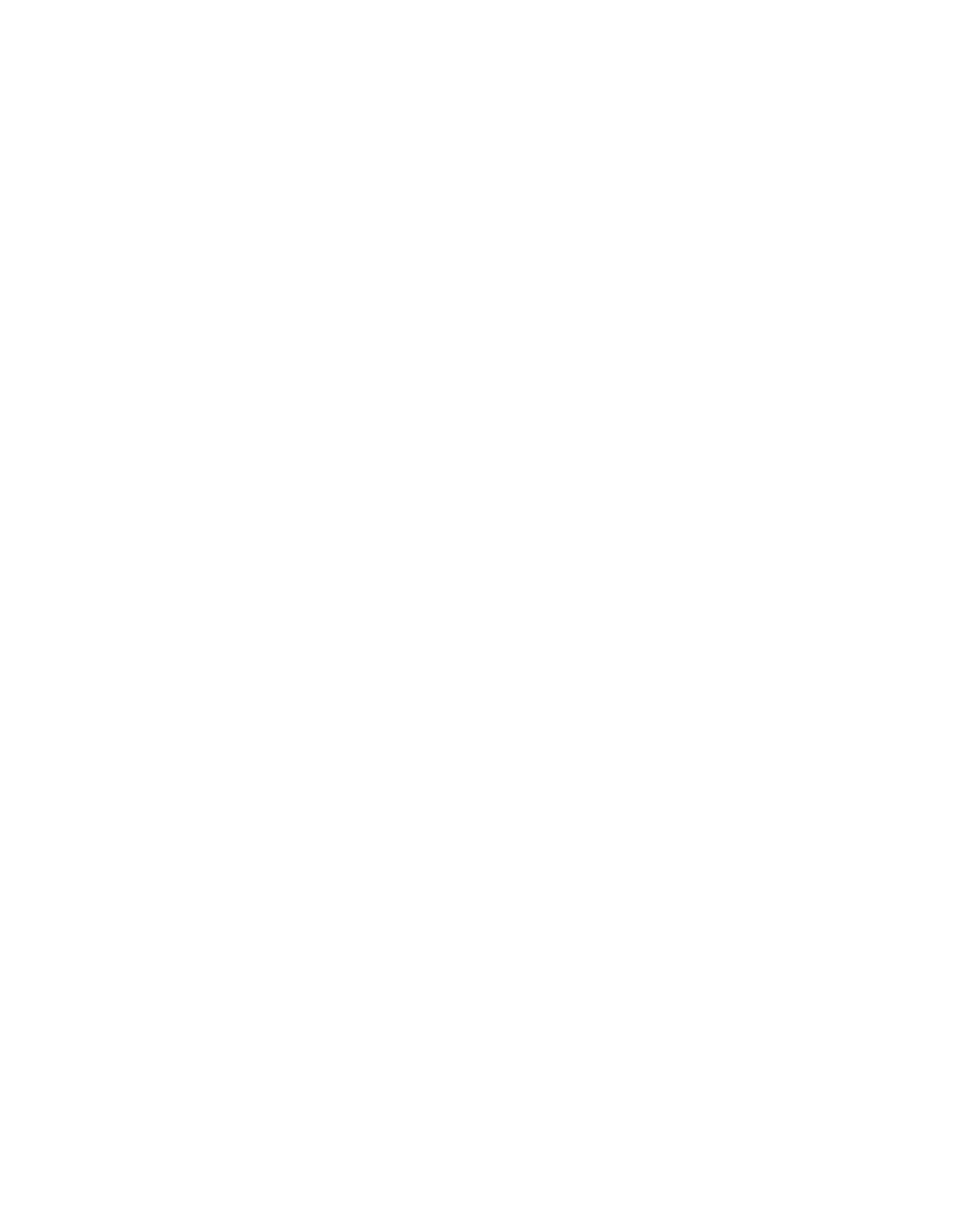an accident. Grasscrete requires some maintenance and watering, which would be difficult and costly in the project area. Therefore these three alternatives are not considered further.

The three remaining alternatives are: double yellow striping, double yellow striping with grooved pavement (or similar effect), and stamped concrete in a cobblestone appearance.

#### **II.2. Yellow Striping**

Currently the pavement median is marked with yellow striping as shown in the Pictures 2361, 3965 and 3966 below. Yellow striping is required to alert motorists of the alignment of the traveled lanes.



Picture 2361- Two Double Yellow Lines Define the Median

There are solid double yellow lines where there are no houses and no turns are permitted. There is single yellow line and a broken yellow line that defines the median area where turns are permitted for access to driveways. Each of these striping patterns are shown below in the project area.



Picture 3965 - Solid Yellow and Broken Yellow Stripes on Each Side of Median



Picture 3966 - Double Solid Yellow Strips on Each Side of Median

Left turn pockets are marked out in several locations for left hand turns onto side streets as shown in picture 2356 below.

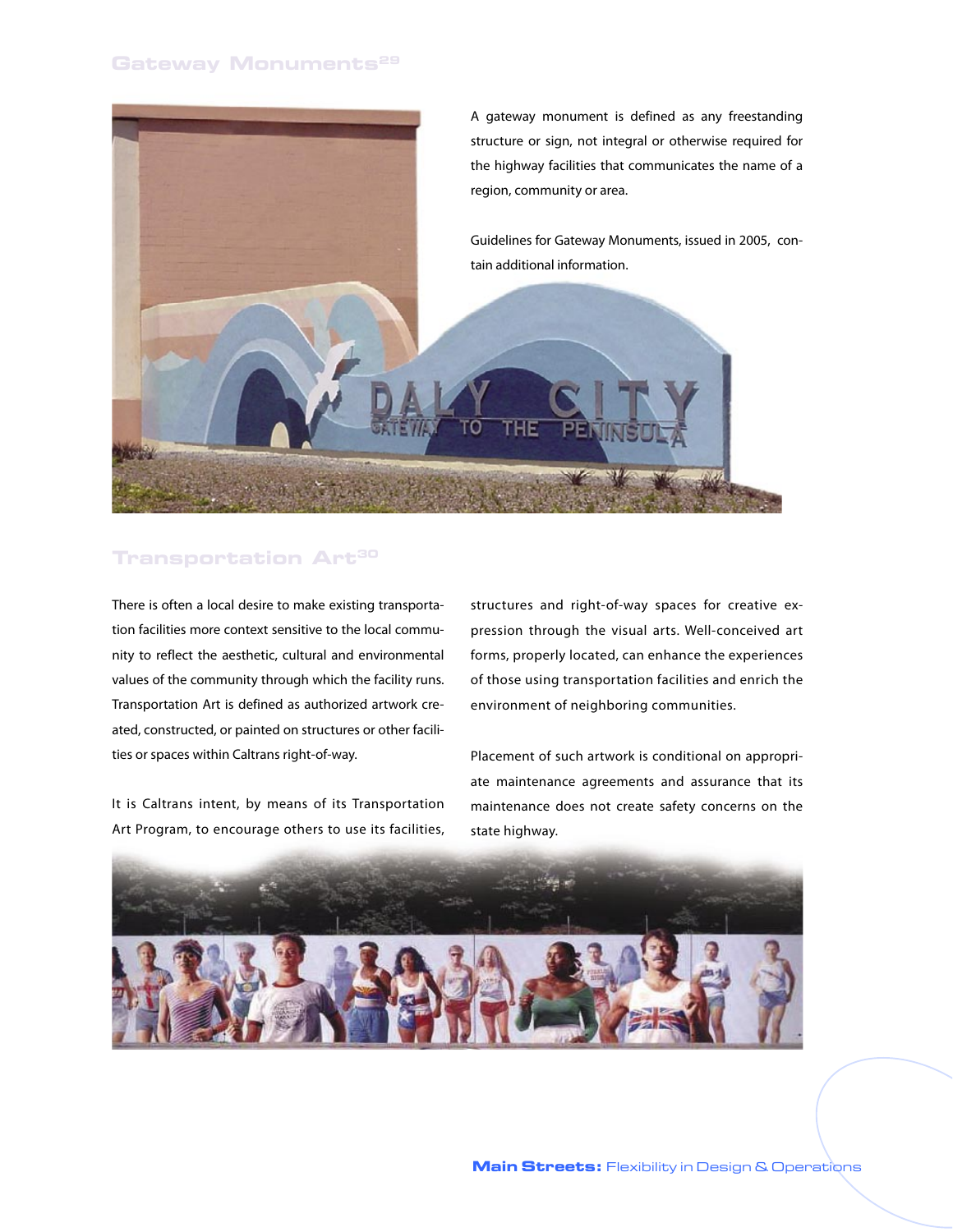

Picture 2356 - Left-Turn Pocket in the Median

Defining the median with striping could be used in the proposed improvement project. It is one of the most common methods and motorists are accustomed to it. It is also the least expensive.

#### **II.3. Grooved (Rumble Strips) Pavement**

In order to provide a possible traffic calming effect, provide a more distinct and safer median; grooves could be placed in the pavement as done along edges of highways to warn drivers when they are out of the travelled way. There are many types of groove patterns, including longitudinal, and transverse, and diamond. This is an added precautionary measure since grooves do not eliminate striping of the highway. Regulations require yellow stripes on each side of the median area. Studies performed have shown throughout the U.S. that grooved pavement has reduced accidents and injuries on rural highways by as much as 20%.

If installed correctly many highway departments find low maintenance cost with grooved pavement. Grooves are relatively easy and cost effective to create. The cost to groove pavement is approximately \$3 per square yard.



*Diamond Grooved Pavement*

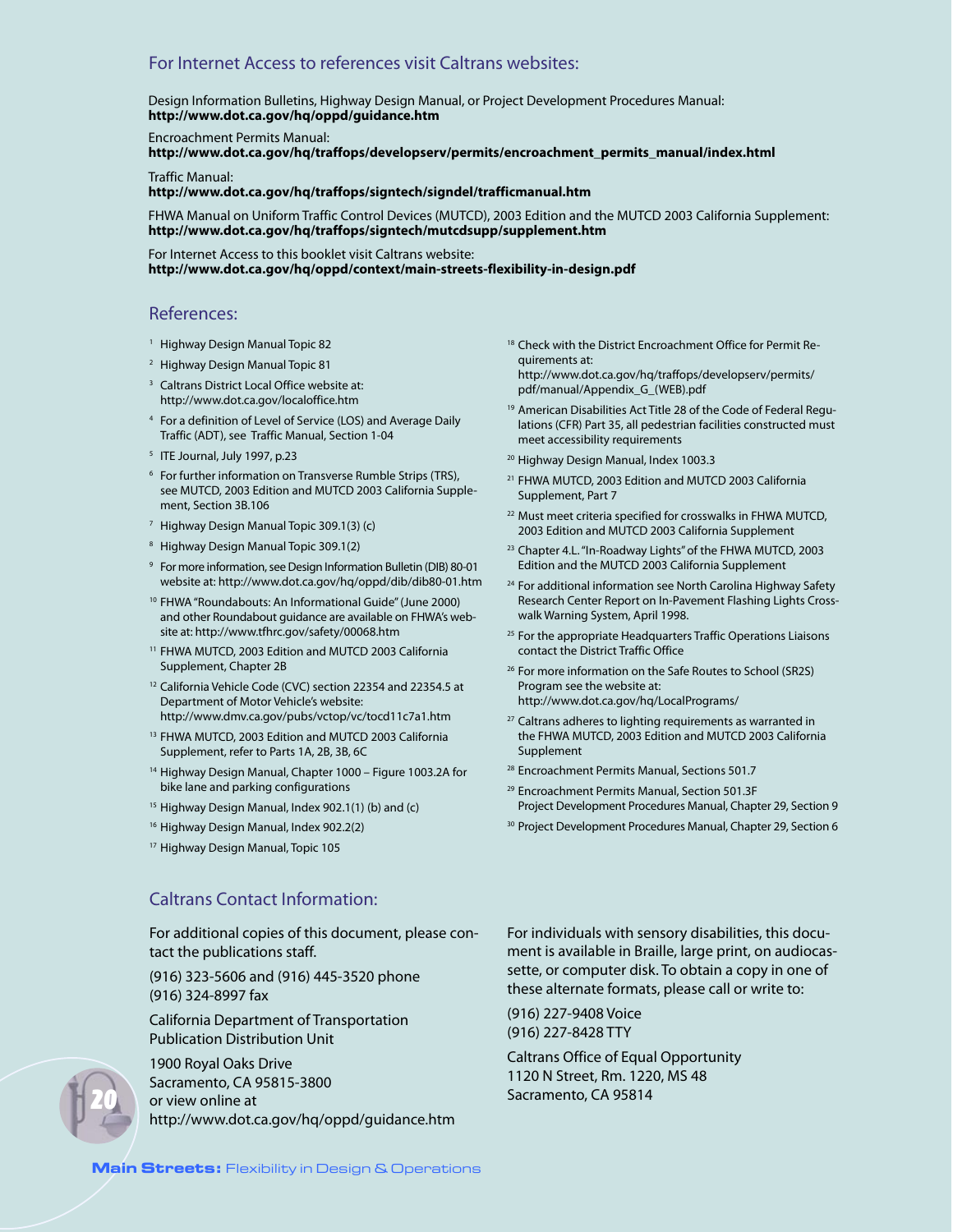

*Grooved Pavement on freeway (also note decorative strip at edge of shoulder)*



*A Special Effect Material*

#### **II.4. Stamped Concrete**

Caltrans states that "Patterned (or stamped) concrete is standard concrete pavement that is colored and/or stained and imprinted with a pattern prior to curing. Best uses for patterned concrete pavement are in urban and suburban areas at high visibility locations including road edges, median strips and slope paving. Concrete is a good choice when longevity, visual quality and context adaptability outweigh initial cost considerations."

Stamped concrete could be used, which would provide a very distinctive median. Emergency vehicles could easily go over such a surface if designed correctly. It may also provide a traffic calming effect. There is a wide variety of colors and patterns available for use. Left-turn pockets would not have the stamped concrete, just normal pavement with appropriate arrows and other markings. Regulations would require double yellow stripes on each side of the median area.

Maintenance is required. Stamped concrete should be cleaned and resealed every few years, so maintenance costs would be higher than with other alternatives. Repairs can be difficult to match to original color and pattern.

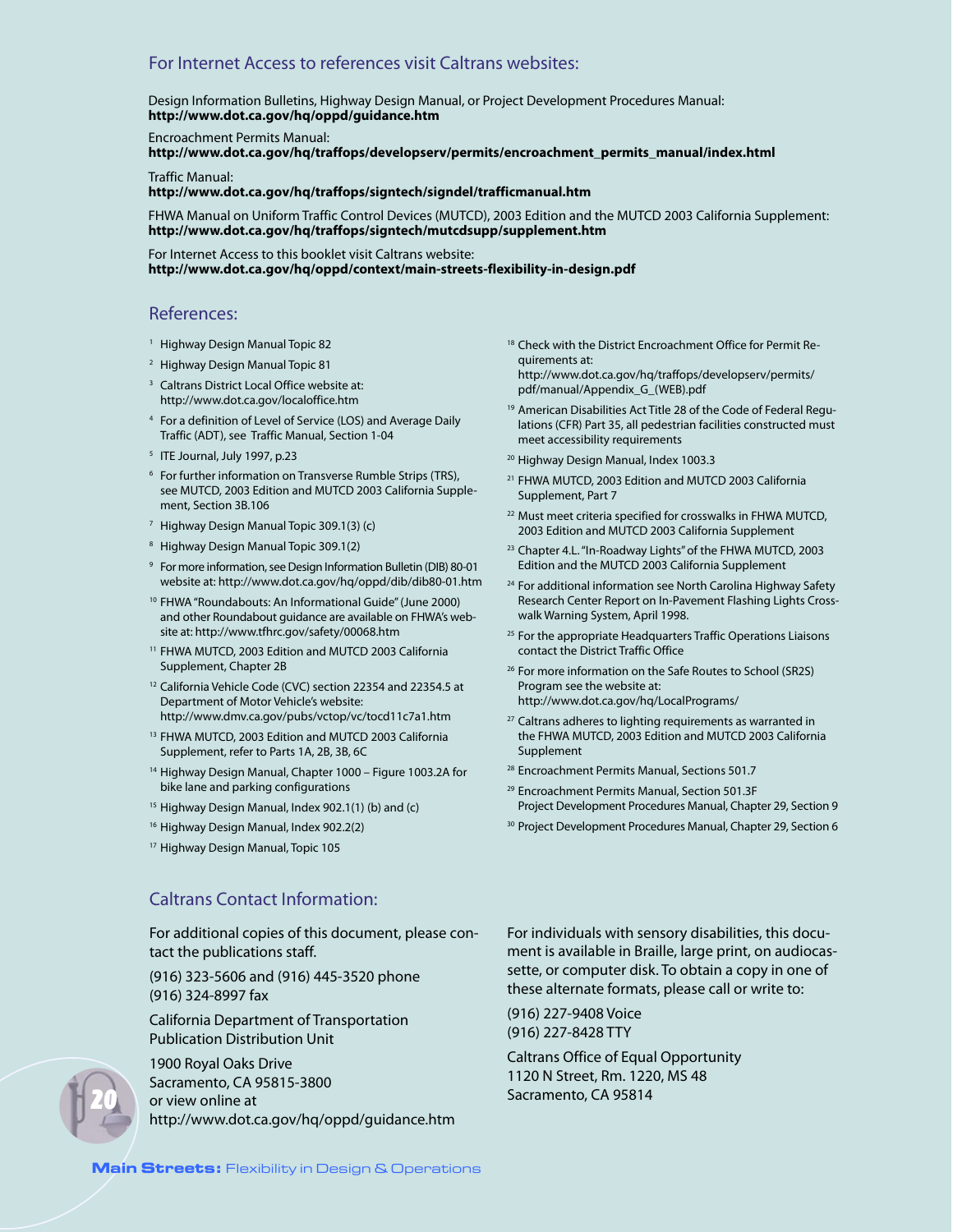The stamped concrete shown in picture 7 above also acts as a second rumble strip. This may be a more cost effective alternative to stamping the entire median however it does not compare to the lower cost of grooved pavement.

The cost of stamped concrete is estimated to be from \$50 to \$100 per square foot.

#### **III.Evaluation and Recommendations**

Improvements in Torrey Pines Road involve selecting a safe and effective median for residents and emergency vehicles. Following is a summary of the median

| Median<br><b>Type</b>                     | <b>Additional Cost</b><br>to Striping                                                | Advantages                                                                                                                                                                                     | <b>Disadvantages</b>                                                              |
|-------------------------------------------|--------------------------------------------------------------------------------------|------------------------------------------------------------------------------------------------------------------------------------------------------------------------------------------------|-----------------------------------------------------------------------------------|
| Yellow<br><b>Striping</b>                 | No additional<br>Cost                                                                | Easily visible in good weather<br>familiar to motorists                                                                                                                                        | Sometimes difficult to see in poor<br>weather (rain, fog, etc.)                   |
| Grooved<br>(rumble)<br>strip)<br>Pavement | \$1 per foot                                                                         | Provides alert to drivers who are<br>not alert to their passing into the<br>median.<br>Can be placed on the edge of the<br>median so emergency vehicles do<br>not continuously travel over it. | Must be installed properly                                                        |
| Stamped<br>concrete                       | \$50-\$100<br>/square foot<br>Stamped strip<br>$cost = $50-$<br>\$100/linear<br>foot | Can be highly attractive when<br>decoration is selected properly.                                                                                                                              | Costly.<br>Higher maintenance<br>Difficult to repair to match<br>pattern or color |

Yellow stripes along both edges of the median are a basic requirement. The addition of grooves is a relatively beneficial and inexpensive addition. Stamped concrete is much more expensive, but provides a special look and may have a traffic calming effect.

It is recommended to include stamped concrete in the median area if monies are available. Otherwise it is recommended to groove the median area on the edges, and stamped concrete can be kept as an option for the future.

#### **IV. Appendices**

- 1. Caltrans Main Streets: Flexibility in Design & Operations, January 2005
- 2. A Comparison of Transverse Tined and Longitudinal Diamond Ground Pavement Texturing for Newly Constructed Concrete Pavement by Pennsylvania Transportation Institute Penn State University
- 3. Design Of Medians For Principal Arterials by Center For Transportation Research the University of Texas at Austin